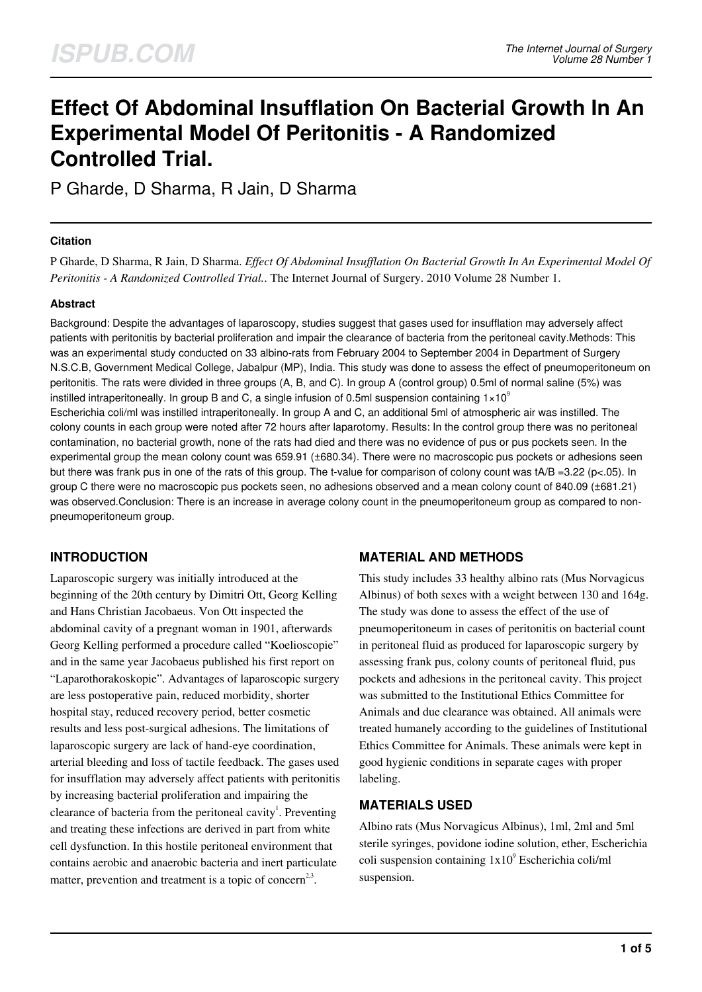# **Effect Of Abdominal Insufflation On Bacterial Growth In An Experimental Model Of Peritonitis - A Randomized Controlled Trial.**

P Gharde, D Sharma, R Jain, D Sharma

## **Citation**

P Gharde, D Sharma, R Jain, D Sharma. *Effect Of Abdominal Insufflation On Bacterial Growth In An Experimental Model Of Peritonitis - A Randomized Controlled Trial.*. The Internet Journal of Surgery. 2010 Volume 28 Number 1.

### **Abstract**

Background: Despite the advantages of laparoscopy, studies suggest that gases used for insufflation may adversely affect patients with peritonitis by bacterial proliferation and impair the clearance of bacteria from the peritoneal cavity.Methods: This was an experimental study conducted on 33 albino-rats from February 2004 to September 2004 in Department of Surgery N.S.C.B, Government Medical College, Jabalpur (MP), India. This study was done to assess the effect of pneumoperitoneum on peritonitis. The rats were divided in three groups (A, B, and C). In group A (control group) 0.5ml of normal saline (5%) was instilled intraperitoneally. In group B and C, a single infusion of 0.5ml suspension containing  $1 \times 10^9$ Escherichia coli/ml was instilled intraperitoneally. In group A and C, an additional 5ml of atmospheric air was instilled. The colony counts in each group were noted after 72 hours after laparotomy. Results: In the control group there was no peritoneal contamination, no bacterial growth, none of the rats had died and there was no evidence of pus or pus pockets seen. In the experimental group the mean colony count was 659.91 (±680.34). There were no macroscopic pus pockets or adhesions seen but there was frank pus in one of the rats of this group. The t-value for comparison of colony count was tA/B =3.22 (p<.05). In group C there were no macroscopic pus pockets seen, no adhesions observed and a mean colony count of 840.09 (±681.21) was observed.Conclusion: There is an increase in average colony count in the pneumoperitoneum group as compared to nonpneumoperitoneum group.

# **INTRODUCTION**

Laparoscopic surgery was initially introduced at the beginning of the 20th century by Dimitri Ott, Georg Kelling and Hans Christian Jacobaeus. Von Ott inspected the abdominal cavity of a pregnant woman in 1901, afterwards Georg Kelling performed a procedure called "Koelioscopie" and in the same year Jacobaeus published his first report on "Laparothorakoskopie". Advantages of laparoscopic surgery are less postoperative pain, reduced morbidity, shorter hospital stay, reduced recovery period, better cosmetic results and less post-surgical adhesions. The limitations of laparoscopic surgery are lack of hand-eye coordination, arterial bleeding and loss of tactile feedback. The gases used for insufflation may adversely affect patients with peritonitis by increasing bacterial proliferation and impairing the clearance of bacteria from the peritoneal cavity<sup>1</sup>. Preventing and treating these infections are derived in part from white cell dysfunction. In this hostile peritoneal environment that contains aerobic and anaerobic bacteria and inert particulate matter, prevention and treatment is a topic of concern<sup>2,3</sup>.

# **MATERIAL AND METHODS**

This study includes 33 healthy albino rats (Mus Norvagicus Albinus) of both sexes with a weight between 130 and 164g. The study was done to assess the effect of the use of pneumoperitoneum in cases of peritonitis on bacterial count in peritoneal fluid as produced for laparoscopic surgery by assessing frank pus, colony counts of peritoneal fluid, pus pockets and adhesions in the peritoneal cavity. This project was submitted to the Institutional Ethics Committee for Animals and due clearance was obtained. All animals were treated humanely according to the guidelines of Institutional Ethics Committee for Animals. These animals were kept in good hygienic conditions in separate cages with proper labeling.

#### **MATERIALS USED**

Albino rats (Mus Norvagicus Albinus), 1ml, 2ml and 5ml sterile syringes, povidone iodine solution, ether, Escherichia coli suspension containing  $1x10^9$  Escherichia coli/ml suspension.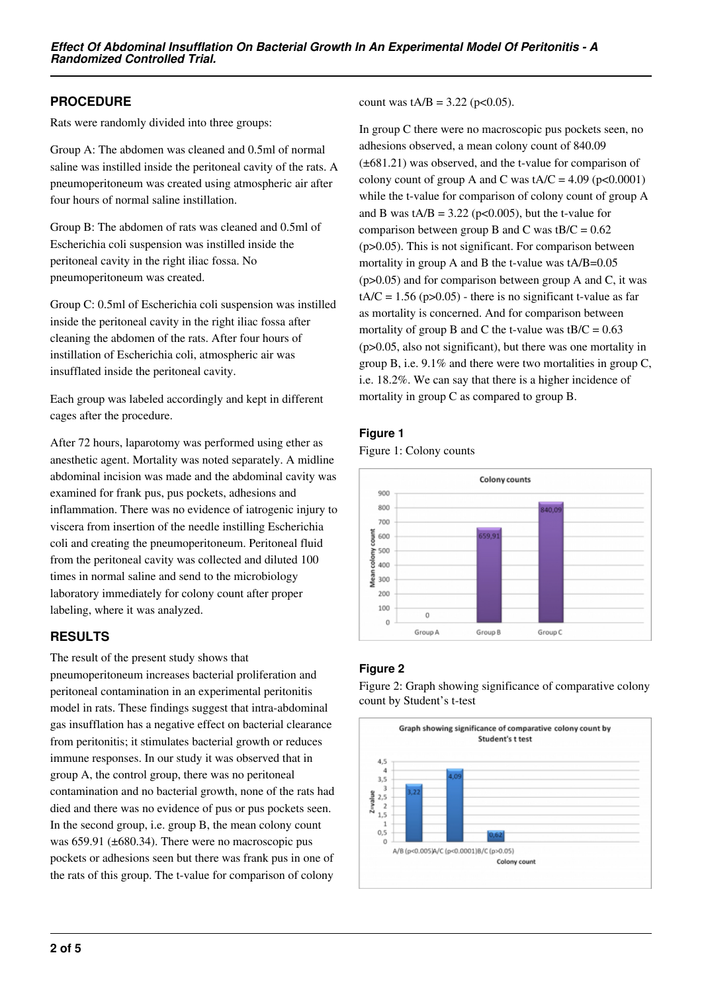# **PROCEDURE**

Rats were randomly divided into three groups:

Group A: The abdomen was cleaned and 0.5ml of normal saline was instilled inside the peritoneal cavity of the rats. A pneumoperitoneum was created using atmospheric air after four hours of normal saline instillation.

Group B: The abdomen of rats was cleaned and 0.5ml of Escherichia coli suspension was instilled inside the peritoneal cavity in the right iliac fossa. No pneumoperitoneum was created.

Group C: 0.5ml of Escherichia coli suspension was instilled inside the peritoneal cavity in the right iliac fossa after cleaning the abdomen of the rats. After four hours of instillation of Escherichia coli, atmospheric air was insufflated inside the peritoneal cavity.

Each group was labeled accordingly and kept in different cages after the procedure.

After 72 hours, laparotomy was performed using ether as anesthetic agent. Mortality was noted separately. A midline abdominal incision was made and the abdominal cavity was examined for frank pus, pus pockets, adhesions and inflammation. There was no evidence of iatrogenic injury to viscera from insertion of the needle instilling Escherichia coli and creating the pneumoperitoneum. Peritoneal fluid from the peritoneal cavity was collected and diluted 100 times in normal saline and send to the microbiology laboratory immediately for colony count after proper labeling, where it was analyzed.

# **RESULTS**

The result of the present study shows that pneumoperitoneum increases bacterial proliferation and peritoneal contamination in an experimental peritonitis model in rats. These findings suggest that intra-abdominal gas insufflation has a negative effect on bacterial clearance from peritonitis; it stimulates bacterial growth or reduces immune responses. In our study it was observed that in group A, the control group, there was no peritoneal contamination and no bacterial growth, none of the rats had died and there was no evidence of pus or pus pockets seen. In the second group, i.e. group B, the mean colony count was 659.91 (±680.34). There were no macroscopic pus pockets or adhesions seen but there was frank pus in one of the rats of this group. The t-value for comparison of colony

count was  $tA/B = 3.22$  (p<0.05).

In group C there were no macroscopic pus pockets seen, no adhesions observed, a mean colony count of 840.09 (±681.21) was observed, and the t-value for comparison of colony count of group A and C was  $tA/C = 4.09$  ( $p < 0.0001$ ) while the t-value for comparison of colony count of group A and B was  $tA/B = 3.22$  (p<0.005), but the t-value for comparison between group B and C was  $tB/C = 0.62$ (p>0.05). This is not significant. For comparison between mortality in group A and B the t-value was tA/B=0.05  $(p>0.05)$  and for comparison between group A and C, it was  $tA/C = 1.56$  (p $>0.05$ ) - there is no significant t-value as far as mortality is concerned. And for comparison between mortality of group B and C the t-value was  $tB/C = 0.63$ (p>0.05, also not significant), but there was one mortality in group B, i.e. 9.1% and there were two mortalities in group C, i.e. 18.2%. We can say that there is a higher incidence of mortality in group C as compared to group B.

#### **Figure 1**

Figure 1: Colony counts



# **Figure 2**

Figure 2: Graph showing significance of comparative colony count by Student's t-test

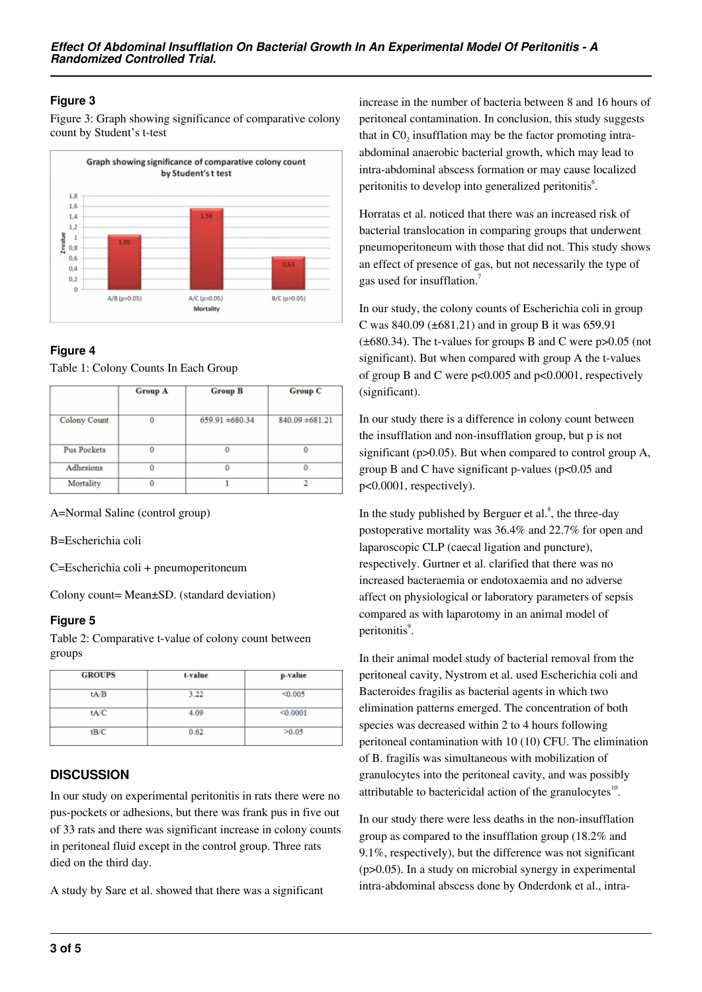# **Figure 3**

Figure 3: Graph showing significance of comparative colony count by Student's t-test



# **Figure 4**

Table 1: Colony Counts In Each Group

|                     | <b>Group A</b> | <b>Group B</b>      | <b>Group C</b>      |
|---------------------|----------------|---------------------|---------------------|
| <b>Colony Count</b> | 0              | $659.91 \pm 680.34$ | $840.09 \pm 681.21$ |
| <b>Pus Pockets</b>  | $\bf{0}$       | $\bf{0}$            |                     |
| Adhesions           | 0              | $\bf{0}$            | 0                   |
| Mortality           | 0              |                     |                     |

A=Normal Saline (control group)

B=Escherichia coli

C=Escherichia coli + pneumoperitoneum

Colony count= Mean±SD. (standard deviation)

# **Figure 5**

Table 2: Comparative t-value of colony count between groups

| <b>GROUPS</b> | t-value | p-value  |
|---------------|---------|----------|
| tA/B          | 3.22    | < 0.005  |
| tA/C          | 4.09    | < 0.0001 |
| tB/C          | 0.62    | >0.05    |

# **DISCUSSION**

In our study on experimental peritonitis in rats there were no pus-pockets or adhesions, but there was frank pus in five out of 33 rats and there was significant increase in colony counts in peritoneal fluid except in the control group. Three rats died on the third day.

A study by Sare et al. showed that there was a significant

increase in the number of bacteria between 8 and 16 hours of peritoneal contamination. In conclusion, this study suggests that in  $CO<sub>2</sub>$  insufflation may be the factor promoting intraabdominal anaerobic bacterial growth, which may lead to intra-abdominal abscess formation or may cause localized peritonitis to develop into generalized peritonitis<sup>6</sup>.

Horratas et al. noticed that there was an increased risk of bacterial translocation in comparing groups that underwent pneumoperitoneum with those that did not. This study shows an effect of presence of gas, but not necessarily the type of gas used for insufflation.<sup>7</sup>

In our study, the colony counts of Escherichia coli in group C was  $840.09$  ( $\pm 681.21$ ) and in group B it was 659.91 (±680.34). The t-values for groups B and C were p>0.05 (not significant). But when compared with group A the t-values of group B and C were p<0.005 and p<0.0001, respectively (significant).

In our study there is a difference in colony count between the insufflation and non-insufflation group, but p is not significant (p>0.05). But when compared to control group A, group B and C have significant p-values ( $p<0.05$  and p<0.0001, respectively).

In the study published by Berguer et al. $^{8}$ , the three-day postoperative mortality was 36.4% and 22.7% for open and laparoscopic CLP (caecal ligation and puncture), respectively. Gurtner et al. clarified that there was no increased bacteraemia or endotoxaemia and no adverse affect on physiological or laboratory parameters of sepsis compared as with laparotomy in an animal model of peritonitis<sup>9</sup>.

In their animal model study of bacterial removal from the peritoneal cavity, Nystrom et al. used Escherichia coli and Bacteroides fragilis as bacterial agents in which two elimination patterns emerged. The concentration of both species was decreased within 2 to 4 hours following peritoneal contamination with 10 (10) CFU. The elimination of B. fragilis was simultaneous with mobilization of granulocytes into the peritoneal cavity, and was possibly attributable to bactericidal action of the granulocytes $10$ .

In our study there were less deaths in the non-insufflation group as compared to the insufflation group (18.2% and 9.1%, respectively), but the difference was not significant (p>0.05). In a study on microbial synergy in experimental intra-abdominal abscess done by Onderdonk et al., intra-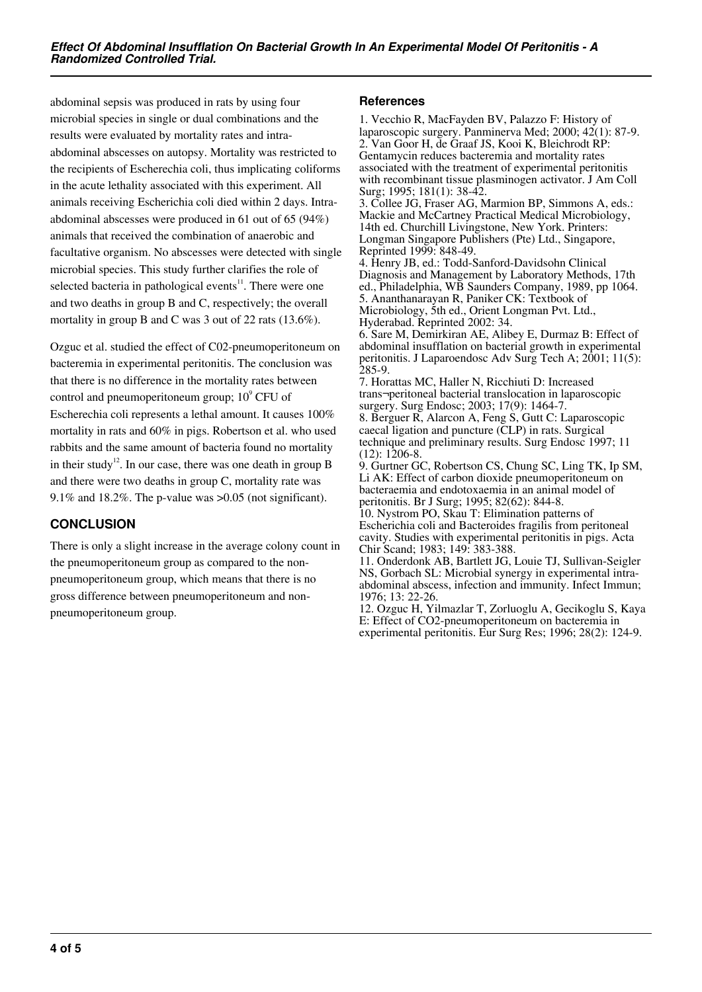abdominal sepsis was produced in rats by using four microbial species in single or dual combinations and the results were evaluated by mortality rates and intraabdominal abscesses on autopsy. Mortality was restricted to the recipients of Escherechia coli, thus implicating coliforms in the acute lethality associated with this experiment. All animals receiving Escherichia coli died within 2 days. Intraabdominal abscesses were produced in 61 out of 65 (94%) animals that received the combination of anaerobic and facultative organism. No abscesses were detected with single microbial species. This study further clarifies the role of selected bacteria in pathological events $11$ . There were one and two deaths in group B and C, respectively; the overall mortality in group B and C was 3 out of 22 rats (13.6%).

Ozguc et al. studied the effect of C02-pneumoperitoneum on bacteremia in experimental peritonitis. The conclusion was that there is no difference in the mortality rates between control and pneumoperitoneum group;  $10^9$  CFU of Escherechia coli represents a lethal amount. It causes 100% mortality in rats and 60% in pigs. Robertson et al. who used rabbits and the same amount of bacteria found no mortality in their study<sup>12</sup>. In our case, there was one death in group B and there were two deaths in group C, mortality rate was 9.1% and 18.2%. The p-value was  $>0.05$  (not significant).

# **CONCLUSION**

There is only a slight increase in the average colony count in the pneumoperitoneum group as compared to the nonpneumoperitoneum group, which means that there is no gross difference between pneumoperitoneum and nonpneumoperitoneum group.

### **References**

1. Vecchio R, MacFayden BV, Palazzo F: History of laparoscopic surgery. Panminerva Med; 2000; 42(1): 87-9. 2. Van Goor H, de Graaf JS, Kooi K, Bleichrodt RP: Gentamycin reduces bacteremia and mortality rates associated with the treatment of experimental peritonitis with recombinant tissue plasminogen activator. J Am Coll Surg; 1995; 181(1): 38-42.

3. Collee JG, Fraser AG, Marmion BP, Simmons A, eds.: Mackie and McCartney Practical Medical Microbiology, 14th ed. Churchill Livingstone, New York. Printers: Longman Singapore Publishers (Pte) Ltd., Singapore, Reprinted 1999: 848-49.

4. Henry JB, ed.: Todd-Sanford-Davidsohn Clinical Diagnosis and Management by Laboratory Methods, 17th ed., Philadelphia, WB Saunders Company, 1989, pp 1064. 5. Ananthanarayan R, Paniker CK: Textbook of Microbiology, 5th ed., Orient Longman Pvt. Ltd., Hyderabad. Reprinted 2002: 34.

6. Sare M, Demirkiran AE, Alibey E, Durmaz B: Effect of abdominal insufflation on bacterial growth in experimental peritonitis. J Laparoendosc Adv Surg Tech A; 2001; 11(5): 285-9.

7. Horattas MC, Haller N, Ricchiuti D: Increased trans¬peritoneal bacterial translocation in laparoscopic surgery. Surg Endosc; 2003; 17(9): 1464-7.

8. Berguer R, Alarcon A, Feng S, Gutt C: Laparoscopic caecal ligation and puncture (CLP) in rats. Surgical technique and preliminary results. Surg Endosc 1997; 11 (12): 1206-8.

9. Gurtner GC, Robertson CS, Chung SC, Ling TK, Ip SM, Li AK: Effect of carbon dioxide pneumoperitoneum on bacteraemia and endotoxaemia in an animal model of peritonitis. Br J Surg; 1995; 82(62): 844-8.

10. Nystrom PO, Skau T: Elimination patterns of Escherichia coli and Bacteroides fragilis from peritoneal cavity. Studies with experimental peritonitis in pigs. Acta Chir Scand; 1983; 149: 383-388.

11. Onderdonk AB, Bartlett JG, Louie TJ, Sullivan-Seigler NS, Gorbach SL: Microbial synergy in experimental intraabdominal abscess, infection and immunity. Infect Immun; 1976; 13: 22-26.

12. Ozguc H, Yilmazlar T, Zorluoglu A, Gecikoglu S, Kaya E: Effect of CO2-pneumoperitoneum on bacteremia in experimental peritonitis. Eur Surg Res; 1996; 28(2): 124-9.